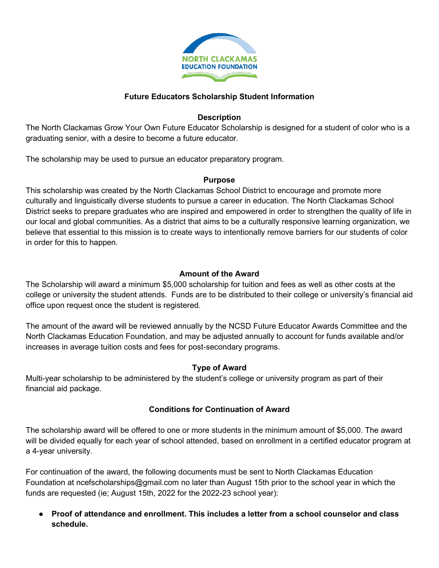

### **Future Educators Scholarship Student Information**

#### **Description**

The North Clackamas Grow Your Own Future Educator Scholarship is designed for a student of color who is a graduating senior, with a desire to become a future educator.

The scholarship may be used to pursue an educator preparatory program.

#### **Purpose**

This scholarship was created by the North Clackamas School District to encourage and promote more culturally and linguistically diverse students to pursue a career in education. The North Clackamas School District seeks to prepare graduates who are inspired and empowered in order to strengthen the quality of life in our local and global communities. As a district that aims to be a culturally responsive learning organization, we believe that essential to this mission is to create ways to intentionally remove barriers for our students of color in order for this to happen.

### **Amount of the Award**

The Scholarship will award a minimum \$5,000 scholarship for tuition and fees as well as other costs at the college or university the student attends. Funds are to be distributed to their college or university's financial aid office upon request once the student is registered.

The amount of the award will be reviewed annually by the NCSD Future Educator Awards Committee and the North Clackamas Education Foundation, and may be adjusted annually to account for funds available and/or increases in average tuition costs and fees for post-secondary programs.

### **Type of Award**

Multi-year scholarship to be administered by the student's college or university program as part of their financial aid package.

### **Conditions for Continuation of Award**

The scholarship award will be offered to one or more students in the minimum amount of \$5,000. The award will be divided equally for each year of school attended, based on enrollment in a certified educator program at a 4-year university.

For continuation of the award, the following documents must be sent to North Clackamas Education Foundation at ncefscholarships@gmail.com no later than August 15th prior to the school year in which the funds are requested (ie; August 15th, 2022 for the 2022-23 school year):

● **Proof of attendance and enrollment. This includes a letter from a school counselor and class schedule.**